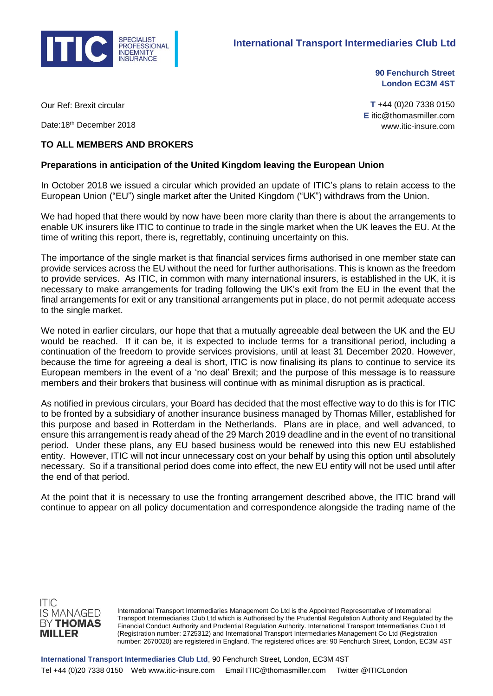

**90 Fenchurch Street London EC3M 4ST**

Our Ref: Brexit circular

Date: 18<sup>th</sup> December 2018

## **T** +44 (0)20 7338 0150 **E** itic@thomasmiller.com www.itic-insure.com

## **TO ALL MEMBERS AND BROKERS**

## **Preparations in anticipation of the United Kingdom leaving the European Union**

In October 2018 we issued a circular which provided an update of ITIC's plans to retain access to the European Union ("EU") single market after the United Kingdom ("UK") withdraws from the Union.

We had hoped that there would by now have been more clarity than there is about the arrangements to enable UK insurers like ITIC to continue to trade in the single market when the UK leaves the EU. At the time of writing this report, there is, regrettably, continuing uncertainty on this.

The importance of the single market is that financial services firms authorised in one member state can provide services across the EU without the need for further authorisations. This is known as the freedom to provide services. As ITIC, in common with many international insurers, is established in the UK, it is necessary to make arrangements for trading following the UK's exit from the EU in the event that the final arrangements for exit or any transitional arrangements put in place, do not permit adequate access to the single market.

We noted in earlier circulars, our hope that that a mutually agreeable deal between the UK and the EU would be reached. If it can be, it is expected to include terms for a transitional period, including a continuation of the freedom to provide services provisions, until at least 31 December 2020. However, because the time for agreeing a deal is short, ITIC is now finalising its plans to continue to service its European members in the event of a 'no deal' Brexit; and the purpose of this message is to reassure members and their brokers that business will continue with as minimal disruption as is practical.

As notified in previous circulars, your Board has decided that the most effective way to do this is for ITIC to be fronted by a subsidiary of another insurance business managed by Thomas Miller, established for this purpose and based in Rotterdam in the Netherlands. Plans are in place, and well advanced, to ensure this arrangement is ready ahead of the 29 March 2019 deadline and in the event of no transitional period. Under these plans, any EU based business would be renewed into this new EU established entity. However, ITIC will not incur unnecessary cost on your behalf by using this option until absolutely necessary. So if a transitional period does come into effect, the new EU entity will not be used until after the end of that period.

At the point that it is necessary to use the fronting arrangement described above, the ITIC brand will continue to appear on all policy documentation and correspondence alongside the trading name of the



International Transport Intermediaries Management Co Ltd is the Appointed Representative of International Transport Intermediaries Club Ltd which is Authorised by the Prudential Regulation Authority and Regulated by the Financial Conduct Authority and Prudential Regulation Authority. International Transport Intermediaries Club Ltd (Registration number: 2725312) and International Transport Intermediaries Management Co Ltd (Registration number: 2670020) are registered in England. The registered offices are: 90 Fenchurch Street, London, EC3M 4ST